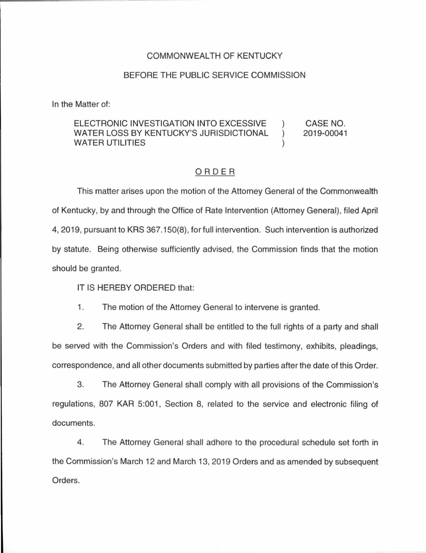### COMMONWEALTH OF KENTUCKY

### BEFORE THE PUBLIC SERVICE COMMISSION

In the Matter of:

#### ELECTRONIC INVESTIGATION INTO EXCESSIVE ) WATER LOSS BY KENTUCKY'S JURISDICTIONAL ) WATER UTILITIES (2002) CASE NO. 2019-00041

## ORDER

This matter arises upon the motion of the Attorney General of the Commonwealth of Kentucky, by and through the Office of Rate Intervention (Attorney General), filed April 4, 2019, pursuant to KRS 367.150(8), for full intervention. Such intervention is authorized by statute. Being otherwise sufficiently advised, the Commission finds that the motion should be granted.

IT IS HEREBY ORDERED that:

1. The motion of the Attorney General to intervene is granted.

2. The Attorney General shall be entitled to the full rights of a party and shall be served with the Commission's Orders and with filed testimony, exhibits, pleadings, correspondence, and all other documents submitted by parties after the date of this Order.

3. The Attorney General shall comply with all provisions of the Commission's regulations, 807 KAR 5:001, Section 8, related to the service and electronic filing of documents.

4. The Attorney General shall adhere to the procedural schedule set forth in the Commission's March 12 and March 13, 2019 Orders and as amended by subsequent Orders.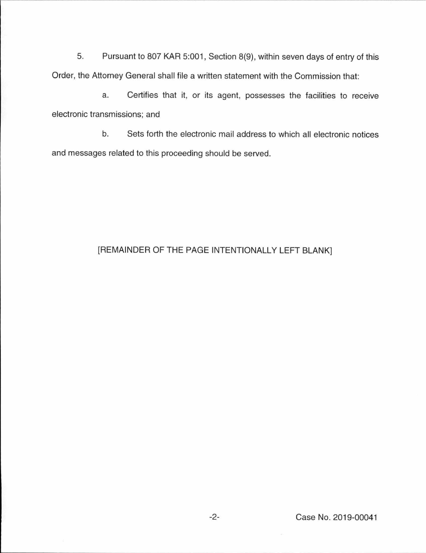5. Pursuant to 807 KAR 5:001, Section 8(9), within seven days of entry of this Order, the Attorney General shall file a written statement with the Commission that:

a. Certifies that it, or its agent, possesses the facilities to receive electronic transmissions; and

b. Sets forth the electronic mail address to which all electronic notices and messages related to this proceeding should be served.

# [REMAINDER OF THE PAGE INTENTIONALLY LEFT BLANK]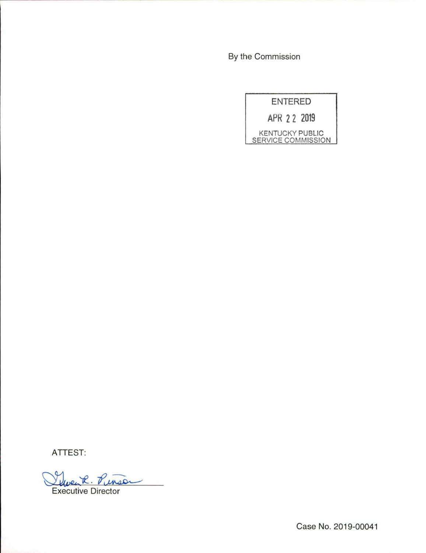By the Commission



ATTEST:

R. Pinso Executive Director

Case No. 2019-00041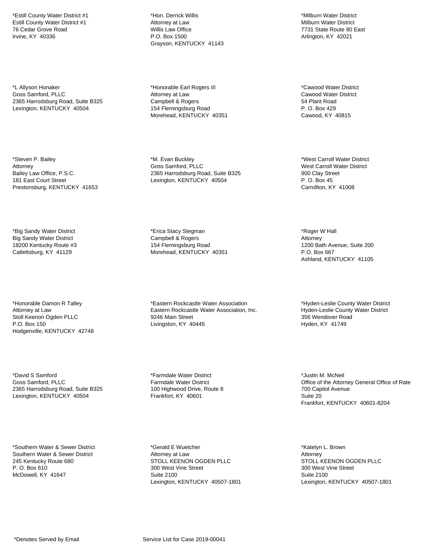\*Estill County Water District #1 Estill County Water District #1 76 Cedar Grove Road Irvine, KY 40336

\*L Allyson Honaker Goss Samford, PLLC 2365 Harrodsburg Road, Suite B325 Lexington, KENTUCKY 40504

\*Steven P. Bailey Attorney Bailey Law Office, P.S.C. 181 East Court Street Prestonsburg, KENTUCKY 41653

\*Big Sandy Water District Big Sandy Water District 18200 Kentucky Route #3 Catlettsburg, KY 41129

\*Honorable Damon R Talley Attorney at Law Stoll Keenon Ogden PLLC P.O. Box 150 Hodgenville, KENTUCKY 42748

\*David S Samford Goss Samford, PLLC 2365 Harrodsburg Road, Suite B325 Lexington, KENTUCKY 40504

\*Southern Water & Sewer District Southern Water & Sewer District 245 Kentucky Route 680 P. O. Box 610 McDowell, KY 41647

\*Hon. Derrick Willis Attorney at Law Willis Law Office P.O. Box 1500 Grayson, KENTUCKY 41143

\*Honorable Earl Rogers III Attorney at Law Campbell & Rogers 154 Flemingsburg Road Morehead, KENTUCKY 40351

\*M. Evan Buckley Goss Samford, PLLC 2365 Harrodsburg Road, Suite B325 Lexington, KENTUCKY 40504

\*Erica Stacy Stegman Campbell & Rogers 154 Flemingsburg Road Morehead, KENTUCKY 40351

\*Eastern Rockcastle Water Association Eastern Rockcastle Water Association, Inc. 9246 Main Street Livingston, KY 40445

\*Farmdale Water District Farmdale Water District 100 Highwood Drive, Route 8 Frankfort, KY 40601

\*Gerald E Wuetcher Attorney at Law STOLL KEENON OGDEN PLLC 300 West Vine Street Suite 2100 Lexington, KENTUCKY 40507-1801

\*Milburn Water District Milburn Water District 7731 State Route 80 East Arlington, KY 42021

\*Cawood Water District Cawood Water District 54 Plant Road P. O. Box 429 Cawood, KY 40815

\*West Carroll Water District West Carroll Water District 900 Clay Street P. O. Box 45 Carrollton, KY 41008

\*Roger W Hall Attorney 1200 Bath Avenue, Suite 200 P.O. Box 667 Ashland, KENTUCKY 41105

\*Hyden-Leslie County Water District Hyden-Leslie County Water District 356 Wendover Road Hyden, KY 41749

\*Justin M. McNeil Office of the Attorney General Office of Rate 700 Capitol Avenue Suite 20 Frankfort, KENTUCKY 40601-8204

\*Katelyn L. Brown Attorney STOLL KEENON OGDEN PLLC 300 West Vine Street Suite 2100 Lexington, KENTUCKY 40507-1801